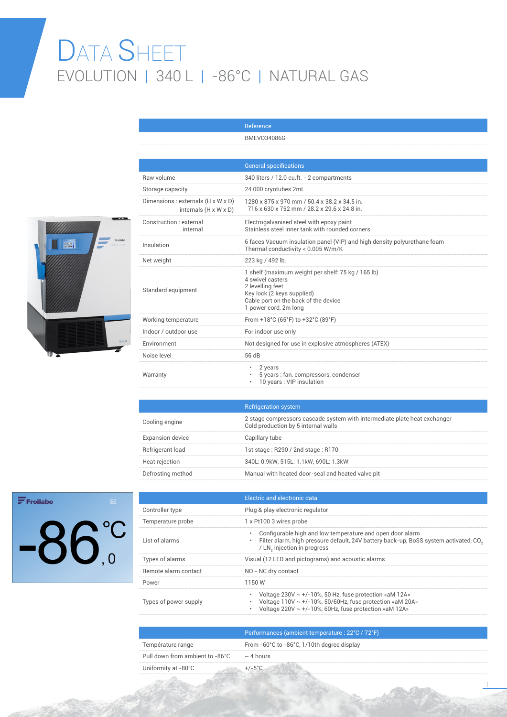## DATA SHEET EVOLUTION | 340 L | -86°C | NATURAL GAS

Reference



|                                                                         | <b>BMEV034086G</b>                                                                                                                                                                        |
|-------------------------------------------------------------------------|-------------------------------------------------------------------------------------------------------------------------------------------------------------------------------------------|
|                                                                         |                                                                                                                                                                                           |
|                                                                         | <b>General specifications</b>                                                                                                                                                             |
| <b>Raw volume</b>                                                       | 340 liters / 12.0 cu.ft. - 2 compartments                                                                                                                                                 |
| Storage capacity                                                        | 24 000 cryotubes 2mL                                                                                                                                                                      |
| Dimensions : externals $(H \times W \times D)$<br>internals (H x W x D) | 1280 x 875 x 970 mm / 50.4 x 38.2 x 34.5 in.<br>716 x 630 x 752 mm / 28.2 x 29.6 x 24.8 in.                                                                                               |
| Construction : external<br>internal                                     | Electrogalvanised steel with epoxy paint<br>Stainless steel inner tank with rounded corners                                                                                               |
| Insulation                                                              | 6 faces Vacuum insulation panel (VIP) and high density polyurethane foam<br>Thermal conductivity < 0.005 W/m/K                                                                            |
| Net weight                                                              | 223 kg / 492 lb.                                                                                                                                                                          |
| Standard equipment                                                      | 1 shelf (maximum weight per shelf: 75 kg / 165 lb)<br>4 swivel casters<br>2 levelling feet<br>Key lock (2 keys supplied)<br>Cable port on the back of the device<br>1 power cord, 2m long |
| Working temperature                                                     | From +18°C (65°F) to +32°C (89°F)                                                                                                                                                         |
| Indoor / outdoor use                                                    | For indoor use only                                                                                                                                                                       |
| Environment                                                             | Not designed for use in explosive atmospheres (ATEX)                                                                                                                                      |
| Noise level                                                             | 56 dB                                                                                                                                                                                     |
| Warranty                                                                | 2 years<br>$\bullet$<br>5 years : fan, compressors, condenser<br>10 years: VIP insulation                                                                                                 |

|                         | <b>Refrigeration system</b>                                                                                      |
|-------------------------|------------------------------------------------------------------------------------------------------------------|
| Cooling engine          | 2 stage compressors cascade system with intermediate plate heat exchanger<br>Cold production by 5 internal walls |
| <b>Expansion device</b> | Capillary tube                                                                                                   |
| Refrigerant load        | 1st stage: R290 / 2nd stage: R170                                                                                |
| Heat rejection          | 340L: 0.9kW, 515L: 1.1kW, 690L: 1.3kW                                                                            |
| Defrosting method       | Manual with heated door-seal and heated valve pit                                                                |

## $\mathbf{F}$ Froilabo  $-86^\circ$

|                       | Electric and electronic data                                                                                                                                                                              |
|-----------------------|-----------------------------------------------------------------------------------------------------------------------------------------------------------------------------------------------------------|
| Controller type       | Plug & play electronic regulator                                                                                                                                                                          |
| Temperature probe     | 1 x Pt100 3 wires probe                                                                                                                                                                                   |
| List of alarms        | Configurable high and low temperature and open door alarm<br>$\bullet$<br>Filter alarm, high pressure default, 24V battery back-up, BoSS system activated, CO <sub>3</sub><br>/ LN, injection in progress |
| Types of alarms       | Visual (12 LED and pictograms) and acoustic alarms                                                                                                                                                        |
| Remote alarm contact  | NO - NC dry contact                                                                                                                                                                                       |
| Power                 | 1150W                                                                                                                                                                                                     |
| Types of power supply | Voltage $230V \sim +/-10\%$ , 50 Hz, fuse protection «aM 12A»<br>۰<br>Voltage $110V \sim +/-10\%$ , 50/60Hz, fuse protection «aM 20A»<br>Voltage 220V $\sim$ +/-10%, 60Hz, fuse protection «aM 12A»       |

|                                                | Performances (ambient temperature : 22°C / 72°F) |
|------------------------------------------------|--------------------------------------------------|
| Température range                              | From -60°C to -86°C, 1/10th degree display       |
| Pull down from ambient to -86°C $\sim$ 4 hours |                                                  |
| Uniformity at -80°C                            |                                                  |

1